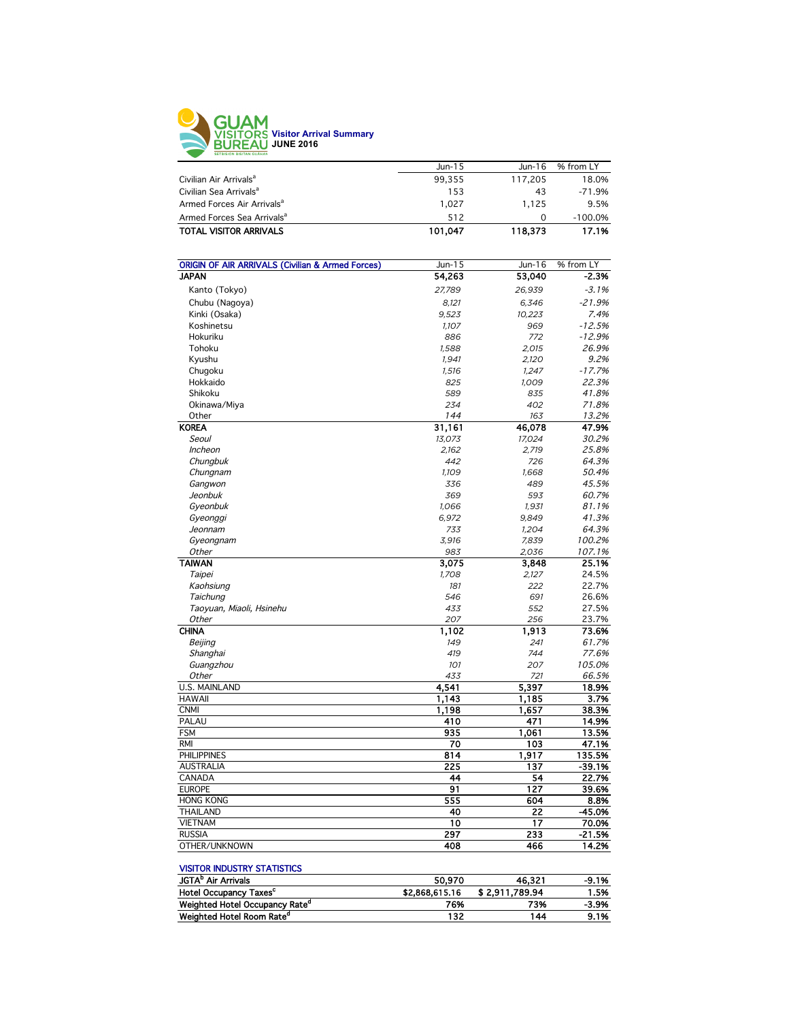

| Jun-15  | Jun-16  | % from LY  |
|---------|---------|------------|
| 99.355  | 117.205 | 18.0%      |
| 153     | 43      | $-71.9%$   |
| 1.027   | 1.125   | 9.5%       |
| 512     |         | $-100.0\%$ |
| 101.047 | 118.373 | 17.1%      |
|         |         |            |

| <b>ORIGIN OF AIR ARRIVALS (Civilian &amp; Armed Forces)</b> | Jun-15 | Jun-16 | % from LY       |
|-------------------------------------------------------------|--------|--------|-----------------|
| <b>JAPAN</b>                                                | 54,263 | 53,040 | $-2.3%$         |
| Kanto (Tokyo)                                               | 27,789 | 26,939 | $-3.1%$         |
| Chubu (Nagoya)                                              | 8.121  | 6.346  | $-21.9%$        |
| Kinki (Osaka)                                               | 9.523  | 10.223 | 7.4%            |
| Koshinetsu                                                  | 1,107  | 969    | $-12.5%$        |
| Hokuriku                                                    | 886    | 772    | $-12.9%$        |
| Tohoku                                                      | 1,588  | 2,015  | 26.9%           |
| Kyushu                                                      | 1,941  | 2,120  | 9.2%            |
| Chugoku                                                     | 1,516  | 1.247  | $-17.7%$        |
| Hokkaido                                                    | 825    | 1,009  | 22.3%           |
| Shikoku                                                     | 589    | 835    | 41.8%           |
| Okinawa/Miya                                                | 234    | 402    | 71.8%           |
| Other                                                       | 144    | 163    | 13.2%           |
| <b>KOREA</b>                                                | 31,161 | 46,078 | 47.9%           |
| Seoul                                                       | 13,073 | 17.024 | 30.2%           |
| Incheon                                                     | 2,162  | 2,719  | 25.8%           |
| Chungbuk                                                    | 442    | 726    | 64.3%           |
| Chungnam                                                    | 1,109  | 1,668  | 50.4%           |
| Gangwon                                                     | 336    | 489    | 45.5%           |
| Jeonbuk                                                     | 369    | 593    | 60.7%           |
| Gyeonbuk                                                    | 1,066  | 1,931  | 81.1%           |
|                                                             | 6,972  | 9,849  | 41.3%           |
| Gyeonggi<br>Jeonnam                                         | 733    | 1,204  | 64.3%           |
|                                                             | 3,916  |        | 100.2%          |
| Gyeongnam                                                   |        | 7,839  |                 |
| Other<br><b>TAIWAN</b>                                      | 983    | 2,036  | 107.1%<br>25.1% |
|                                                             | 3,075  | 3,848  |                 |
| Taipei                                                      | 1,708  | 2,127  | 24.5%<br>22.7%  |
| Kaohsiung                                                   | 181    | 222    | 26.6%           |
| Taichung                                                    | 546    | 691    |                 |
| Taoyuan, Miaoli, Hsinehu                                    | 433    | 552    | 27.5%           |
| Other                                                       | 207    | 256    | 23.7%           |
| <b>CHINA</b>                                                | 1,102  | 1,913  | 73.6%           |
| Beijing                                                     | 149    | 241    | 61.7%           |
| Shanghai                                                    | 419    | 744    | 77.6%           |
| Guangzhou                                                   | 101    | 207    | 105.0%          |
| Other                                                       | 433    | 721    | 66.5%           |
| U.S. MAINLAND                                               | 4,541  | 5,397  | 18.9%           |
| <b>HAWAII</b>                                               | 1,143  | 1,185  | 3.7%            |
| <b>CNMI</b>                                                 | 1,198  | 1,657  | 38.3%           |
| PALAU                                                       | 410    | 471    | 14.9%           |
| <b>FSM</b>                                                  | 935    | 1,061  | 13.5%           |
| <b>RMI</b>                                                  | 70     | 103    | 47.1%           |
| <b>PHILIPPINES</b>                                          | 814    | 1,917  | 135.5%          |
| <b>AUSTRALIA</b>                                            | 225    | 137    | $-39.1%$        |
| CANADA                                                      | 44     | 54     | 22.7%           |
| <b>EUROPE</b>                                               | 91     | 127    | 39.6%           |
| <b>HONG KONG</b>                                            | 555    | 604    | 8.8%            |
| <b>THAILAND</b>                                             | 40     | 22     | -45.0%          |
| <b>VIETNAM</b>                                              | 10     | 17     | 70.0%           |
| <b>RUSSIA</b>                                               | 297    | 233    | $-21.5%$        |
| OTHER/UNKNOWN                                               | 408    | 466    | 14.2%           |

## VISITOR INDUSTRY STATISTICS

| JGTA <sup>b</sup> Air Arrivals             | 50.970         | 46.321         | $-9.1%$ |
|--------------------------------------------|----------------|----------------|---------|
| Hotel Occupancy Taxes <sup>c</sup>         | \$2,868,615,16 | \$2.911.789.94 | 1.5%    |
| Weighted Hotel Occupancy Rate <sup>d</sup> | 76%            | 73%            | $-3.9%$ |
| Weighted Hotel Room Rate <sup>d</sup>      | 132            | 144            | 9.1%    |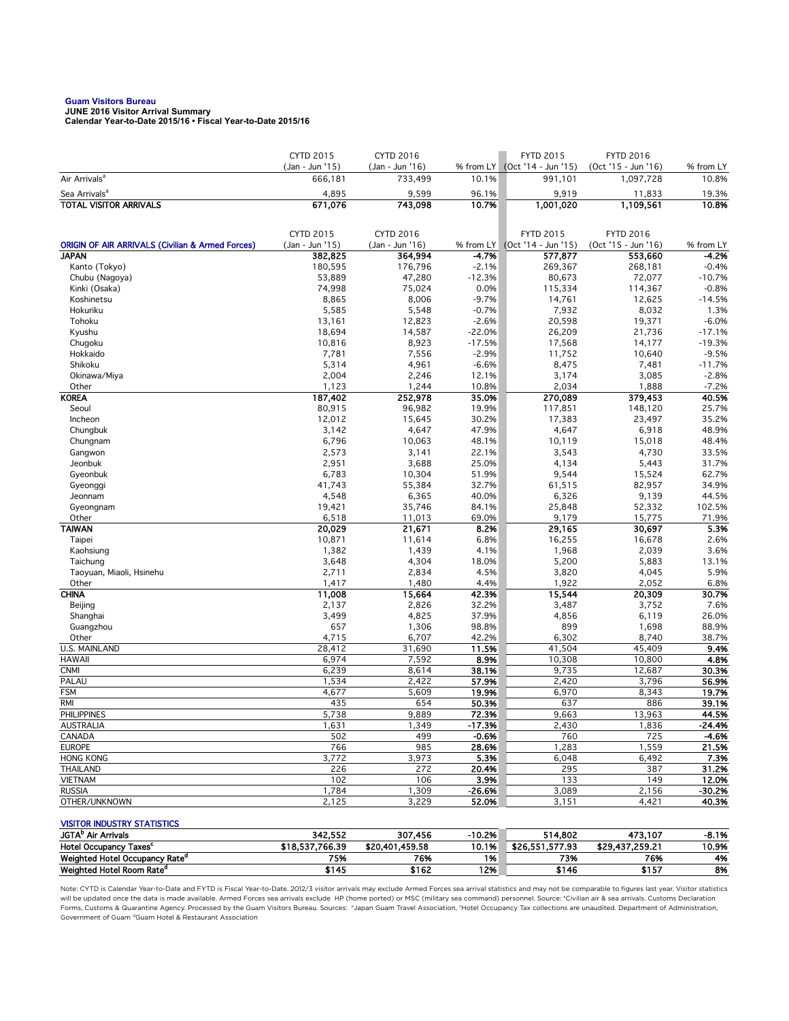**Guam Visitors Bureau JUNE 2016 Visitor Arrival Summary Calendar Year-to-Date 2015/16 • Fiscal Year-to-Date 2015/16** 

|                                                             | CYTD 2015        | CYTD 2016        |                     | <b>FYTD 2015</b>              | <b>FYTD 2016</b>    |                     |
|-------------------------------------------------------------|------------------|------------------|---------------------|-------------------------------|---------------------|---------------------|
|                                                             | (Jan - Jun '15)  | (Jan - Jun '16)  |                     | % from LY (Oct '14 - Jun '15) | (Oct '15 - Jun '16) | % from LY           |
| Air Arrivals <sup>a</sup>                                   | 666,181          | 733,499          | 10.1%               | 991,101                       | 1,097,728           | 10.8%               |
| Sea Arrivals <sup>a</sup>                                   | 4,895            | 9,599            | 96.1%               | 9,919                         | 11,833              | 19.3%               |
| <b>TOTAL VISITOR ARRIVALS</b>                               | 671,076          | 743,098          | 10.7%               | 1,001,020                     | 1,109,561           | 10.8%               |
|                                                             |                  |                  |                     |                               |                     |                     |
|                                                             | CYTD 2015        | <b>CYTD 2016</b> |                     | <b>FYTD 2015</b>              | <b>FYTD 2016</b>    |                     |
| <b>ORIGIN OF AIR ARRIVALS (Civilian &amp; Armed Forces)</b> | (Jan - Jun '15)  | (Jan - Jun '16)  | % from LY           | (Oct '14 - Jun '15)           | (Oct '15 - Jun '16) | % from LY           |
| <b>JAPAN</b>                                                | 382,825          | 364,994          | $-4.7%$             | 577,877                       | 553,660             | $-4.2%$             |
| Kanto (Tokyo)                                               | 180,595          | 176,796          | $-2.1%$             | 269,367                       | 268,181             | $-0.4%$             |
| Chubu (Nagoya)                                              | 53,889           | 47,280           | $-12.3%$            | 80,673                        | 72,077              | $-10.7%$            |
| Kinki (Osaka)                                               | 74,998           | 75,024           | 0.0%                | 115,334                       | 114,367             | $-0.8%$             |
| Koshinetsu                                                  | 8,865            | 8,006            | $-9.7%$             | 14,761                        | 12,625              | $-14.5%$            |
| Hokuriku                                                    | 5,585            | 5,548            | $-0.7%$             | 7,932                         | 8,032               | 1.3%                |
| Tohoku                                                      | 13,161<br>18,694 | 12,823           | $-2.6%$<br>$-22.0%$ | 20,598                        | 19,371              | $-6.0%$<br>$-17.1%$ |
| Kyushu                                                      | 10,816           | 14,587<br>8,923  | $-17.5%$            | 26,209<br>17,568              | 21,736<br>14,177    | $-19.3%$            |
| Chugoku<br>Hokkaido                                         | 7,781            | 7,556            | $-2.9%$             | 11,752                        | 10,640              | $-9.5%$             |
| Shikoku                                                     | 5,314            | 4,961            | $-6.6%$             | 8,475                         | 7,481               | $-11.7%$            |
| Okinawa/Miya                                                | 2,004            | 2,246            | 12.1%               | 3,174                         | 3,085               | $-2.8%$             |
| Other                                                       | 1,123            | 1,244            | 10.8%               | 2,034                         | 1,888               | $-7.2%$             |
| <b>KOREA</b>                                                | 187,402          | 252,978          | 35.0%               | 270,089                       | 379,453             | 40.5%               |
| Seoul                                                       | 80,915           | 96,982           | 19.9%               | 117,851                       | 148,120             | 25.7%               |
| Incheon                                                     | 12,012           | 15,645           | 30.2%               | 17,383                        | 23,497              | 35.2%               |
| Chungbuk                                                    | 3,142            | 4,647            | 47.9%               | 4,647                         | 6,918               | 48.9%               |
| Chungnam                                                    | 6,796            | 10,063           | 48.1%               | 10,119                        | 15,018              | 48.4%               |
| Gangwon                                                     | 2,573            | 3,141            | 22.1%               | 3,543                         | 4,730               | 33.5%               |
| Jeonbuk                                                     | 2,951            | 3,688            | 25.0%               | 4,134                         | 5,443               | 31.7%               |
| Gyeonbuk                                                    | 6,783            | 10,304           | 51.9%               | 9,544                         | 15,524              | 62.7%               |
| Gyeonggi                                                    | 41,743           | 55,384           | 32.7%               | 61,515                        | 82,957              | 34.9%               |
| Jeonnam                                                     | 4,548            | 6,365            | 40.0%               | 6,326                         | 9,139               | 44.5%               |
| Gyeongnam                                                   | 19,421           | 35,746           | 84.1%               | 25,848                        | 52,332              | 102.5%              |
| Other                                                       | 6,518            | 11.013           | 69.0%               | 9,179                         | 15,775              | 71.9%               |
| <b>TAIWAN</b>                                               | 20,029           | 21,671           | 8.2%                | 29,165                        | 30,697              | 5.3%                |
| Taipei                                                      | 10,871           | 11,614           | 6.8%                | 16,255                        | 16,678              | 2.6%                |
| Kaohsiung                                                   | 1,382            | 1,439            | 4.1%                | 1,968                         | 2,039               | 3.6%                |
| Taichung                                                    | 3,648            | 4,304            | 18.0%               | 5,200                         | 5,883               | 13.1%               |
| Taoyuan, Miaoli, Hsinehu                                    | 2,711            | 2,834            | 4.5%                | 3,820                         | 4,045               | 5.9%                |
| Other                                                       | 1,417            | 1,480            | 4.4%                | 1,922                         | 2,052               | 6.8%                |
| <b>CHINA</b>                                                | 11,008           | 15,664           | 42.3%               | 15,544                        | 20,309              | 30.7%               |
| Beijing                                                     | 2,137            | 2,826            | 32.2%               | 3,487                         | 3,752               | 7.6%                |
| Shanghai                                                    | 3,499            | 4,825            | 37.9%               | 4,856                         | 6,119               | 26.0%               |
| Guangzhou                                                   | 657              | 1,306            | 98.8%               | 899                           | 1,698               | 88.9%               |
| Other                                                       | 4,715            | 6,707            | 42.2%               | 6,302                         | 8,740               | 38.7%               |
| <b>U.S. MAINLAND</b>                                        | 28,412           | 31,690           | 11.5%               | 41,504                        | 45,409              | 9.4%                |
| <b>HAWAII</b>                                               | 6,974            | 7,592            | 8.9%                | 10,308                        | 10,800              | 4.8%                |
| <b>CNMI</b>                                                 | 6,239            | 8,614            | 38.1%               | 9,735                         | 12,687              | 30.3%               |
| PALAU                                                       | 1,534            | 2,422            | 57.9%               | 2,420                         | 3,796               | 56.9%               |
| <b>FSM</b><br><b>RMI</b>                                    | 4,677<br>435     | 5,609            | 19.9%<br>50.3%      | 6,970<br>637                  | 8,343<br>886        | 19.7%               |
| <b>PHILIPPINES</b>                                          | 5,738            | 654<br>9,889     | 72.3%               | 9,663                         | 13,963              | 39.1%<br>44.5%      |
|                                                             |                  |                  |                     |                               |                     |                     |
| AUSTRALIA<br>CANADA                                         | 1,631<br>502     | 1,349<br>499     | -17.3%<br>$-0.6%$   | 2,430<br>760                  | 1,836<br>725        | -24.4%<br>-4.6%     |
| <b>EUROPE</b>                                               | 766              | 985              | 28.6%               | 1,283                         | 1,559               | 21.5%               |
| <b>HONG KONG</b>                                            | 3,772            | 3,973            | 5.3%                | 6,048                         | 6,492               | 7.3%                |
| <b>THAILAND</b>                                             | 226              | 272              | 20.4%               | 295                           | 387                 | 31.2%               |
| <b>VIETNAM</b>                                              | 102              | 106              | 3.9%                | 133                           | 149                 | 12.0%               |
| <b>RUSSIA</b>                                               | 1,784            | 1,309            | $-26.6%$            | 3,089                         | 2,156               | $-30.2%$            |
| OTHER/UNKNOWN                                               | 2,125            | 3,229            | 52.0%               | 3,151                         | 4,421               | 40.3%               |
|                                                             |                  |                  |                     |                               |                     |                     |
| <b>VISITOR INDUSTRY STATISTICS</b>                          |                  |                  |                     |                               |                     |                     |
| JGTA <sup>b</sup> Air Arrivals                              | 342,552          | 307,456          | $-10.2%$            | 514,802                       | 473,107             | $-8.1%$             |
| Hotel Occupancy Taxes <sup>c</sup>                          | \$18,537,766.39  | \$20,401,459.58  | 10.1%               | \$26,551,577.93               | \$29,437,259.21     | 10.9%               |
| Weighted Hotel Occupancy Rate <sup>d</sup>                  | 75%              | 76%              | 1%                  | 73%                           | 76%                 | 4%                  |

Weighted Hotel Room Rate<sup>d</sup> \$145 \$162 12% \$146 \$157 8% Note: CYTD is Calendar Year-to-Date and FYTD is Fiscal Year-to-Date. 2012/3 visitor arrivals may exclude Armed Forces sea arrival statistics and may not be comparable to figures last year. Visitor statistics will be updated once the data is made available. Armed Forces sea arrivals exclude HP (home ported) or MSC (military sea command) personnel. Source: °Civilian air & sea arrivals. Customs Declaration<br>Forms, Customs & Quaran

Government of Guam dGuam Hotel & Restaurant Association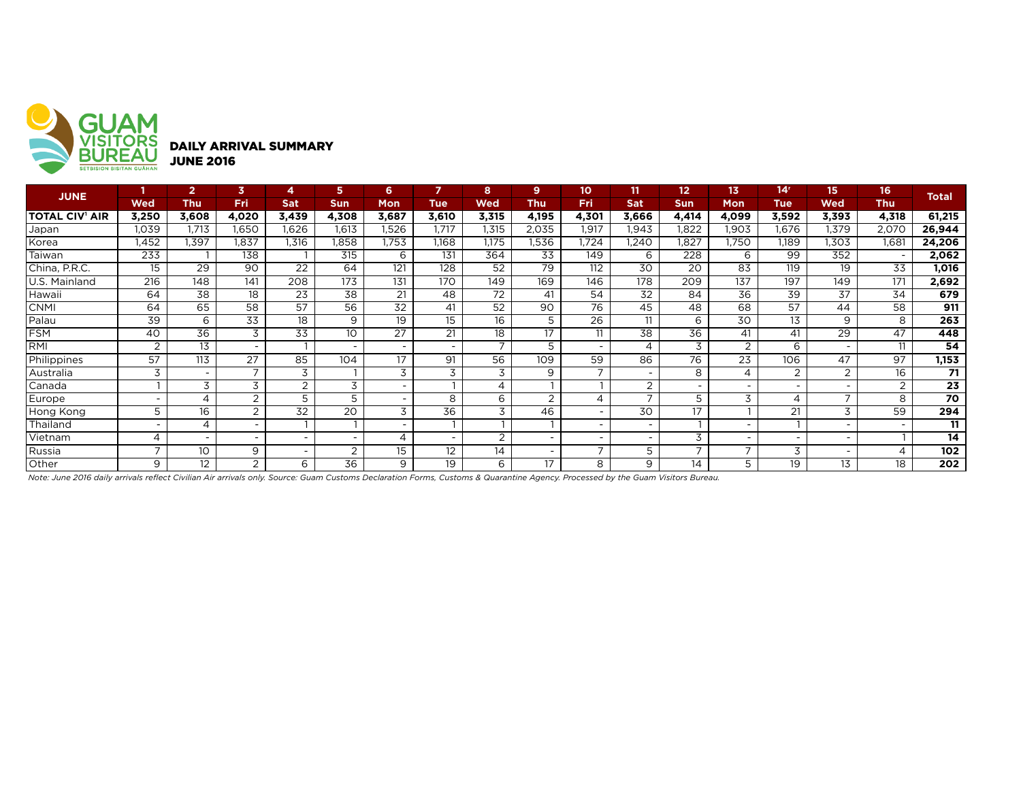

| <b>JUNE</b>           |                          | $\overline{\mathbf{2}}$  | 3                        | 4                        | 5                        | 6                        |                          | 8                        | 9                        | 10                       | 11                       | 12                       | 13                       | 14 <sup>r</sup>          | 15                      | 16             | <b>Total</b> |
|-----------------------|--------------------------|--------------------------|--------------------------|--------------------------|--------------------------|--------------------------|--------------------------|--------------------------|--------------------------|--------------------------|--------------------------|--------------------------|--------------------------|--------------------------|-------------------------|----------------|--------------|
|                       | Wed                      | Thu                      | Fri                      | <b>Sat</b>               | <b>Sun</b>               | <b>Mon</b>               | <b>Tue</b>               | Wed                      | <b>Thu</b>               | <b>Fri</b>               | <b>Sat</b>               | <b>Sun</b>               | <b>Mon</b>               | <b>Tue</b>               | <b>Wed</b>              | <b>Thu</b>     |              |
| <b>TOTAL CIV' AIR</b> | 3,250                    | 3,608                    | 4,020                    | 3,439                    | 4,308                    | 3,687                    | 3,610                    | 3,315                    | 4,195                    | 4,301                    | 3,666                    | 4,414                    | 4,099                    | 3,592                    | 3,393                   | 4,318          | 61,215       |
| Japan                 | 1,039                    | 1,713                    | .650                     | .626                     | 1,613                    | .526                     | .717                     | 1,315                    | 2,035                    | 1.917                    | 1,943                    | 1,822                    | .903                     | 1,676                    | 1,379                   | 2,070          | 26,944       |
| Korea                 | I,452                    | .397                     | 1,837                    | <b>1.316</b>             | .858                     | .753                     | 1.168                    | 1.175                    | .536                     | 1.724                    | ,240                     | 1,827                    | ,750                     | 1.189                    | .303                    | 1.681          | 24,206       |
| Taiwan                | 233                      |                          | 138                      |                          | 315                      | 6                        | 131                      | 364                      | 33                       | 149                      | 6                        | 228                      | 6                        | 99                       | 352                     |                | 2,062        |
| China, P.R.C.         | 15                       | 29                       | 90                       | 22                       | 64                       | 121                      | 128                      | 52                       | 79                       | 112                      | 30                       | 20                       | 83                       | 119                      | 19                      | 33             | 1,016        |
| U.S. Mainland         | 216                      | 148                      | 141                      | 208                      | 173                      | 131                      | 170                      | 149                      | 169                      | 146                      | 178                      | 209                      | 137                      | 197                      | 149                     | 171            | 2,692        |
| Hawaii                | 64                       | 38                       | 18                       | 23                       | 38                       | 21                       | 48                       | 72                       | 41                       | 54                       | 32                       | 84                       | 36                       | 39                       | 37                      | 34             | 679          |
| <b>CNMI</b>           | 64                       | 65                       | 58                       | 57                       | 56                       | 32                       | 41                       | 52                       | 90                       | 76                       | 45                       | 48                       | 68                       | 57                       | 44                      | 58             | 911          |
| Palau                 | 39                       | 6                        | 33                       | 18                       | 9                        | 19                       | 15                       | 16                       | 5                        | 26                       | 11                       | 6                        | 30                       | 13                       | 9                       | 8              | 263          |
| <b>FSM</b>            | 40                       | $\overline{36}$          | 3                        | 33                       | 10 <sup>°</sup>          | 27                       | 21                       | 18                       | 17                       | 11                       | $\overline{38}$          | $\overline{36}$          | 41                       | 41                       | 29                      | 47             | 448          |
| RMI                   | 2                        | 13                       | $\overline{\phantom{0}}$ |                          | $\overline{\phantom{0}}$ | $\overline{\phantom{a}}$ |                          | $\overline{\phantom{0}}$ | 5                        |                          | 4                        | 3                        | 2                        | 6                        |                         | 11             | 54           |
| Philippines           | 57                       | 113                      | 27                       | 85                       | 104                      | 17                       | 91                       | 56                       | 109                      | 59                       | 86                       | 76                       | 23                       | 106                      | 47                      | 97             | 1,153        |
| Australia             | 3                        | $\overline{\phantom{a}}$ | $\overline{ }$           | 3                        |                          | 3                        | 3                        | 3                        | 9                        |                          |                          | 8                        | 4                        | 2                        | ົ                       | 16             | 71           |
| Canada                |                          | 3                        | 3                        | 2                        | 3                        |                          |                          | 4                        |                          |                          | 2                        |                          | $\overline{\phantom{0}}$ |                          |                         | $\overline{2}$ | 23           |
| Europe                | $\overline{\phantom{a}}$ | 4                        | 2                        | 5                        | 5                        | $\overline{\phantom{0}}$ | 8                        | 6                        | $\overline{2}$           | $\overline{\mathcal{A}}$ | $\overline{ }$           | 5                        | 3                        | 4                        |                         | 8              | 70           |
| Hong Kong             | 5                        | 16                       | $\overline{2}$           | 32                       | 20                       | 3                        | 36                       | 3                        | 46                       |                          | 30                       | 17                       |                          | 21                       | $\overline{\mathbf{z}}$ | 59             | 294          |
| Thailand              | $\overline{\phantom{a}}$ | 4                        | $\overline{\phantom{0}}$ |                          |                          |                          |                          |                          |                          |                          | $\overline{\phantom{0}}$ |                          | $\overline{\phantom{0}}$ |                          |                         |                | 11           |
| Vietnam               | 4                        | $\overline{\phantom{a}}$ | $\overline{\phantom{0}}$ | $\overline{\phantom{0}}$ | $\overline{\phantom{0}}$ | 4                        | $\overline{\phantom{0}}$ | 2                        | $\overline{\phantom{0}}$ |                          |                          | 3                        | $\overline{\phantom{a}}$ | $\overline{\phantom{0}}$ |                         |                | 14           |
| Russia                | $\overline{\phantom{0}}$ | 10                       | 9                        | $\overline{\phantom{0}}$ | 2                        | 15                       | 12                       | 14                       | $\overline{\phantom{0}}$ |                          | 5                        | $\overline{\phantom{a}}$ | $\overline{ }$           | 3                        |                         | $\overline{4}$ | 102          |
| Other                 | 9                        | 12                       | $\overline{2}$           | 6                        | 36                       | 9                        | 19                       | 6                        | 17                       | 8                        | 9                        | 14                       | 5                        | 19                       | 13                      | 18             | 202          |

*Note: June 2016 daily arrivals reflect Civilian Air arrivals only. Source: Guam Customs Declaration Forms, Customs & Quarantine Agency. Processed by the Guam Visitors Bureau.*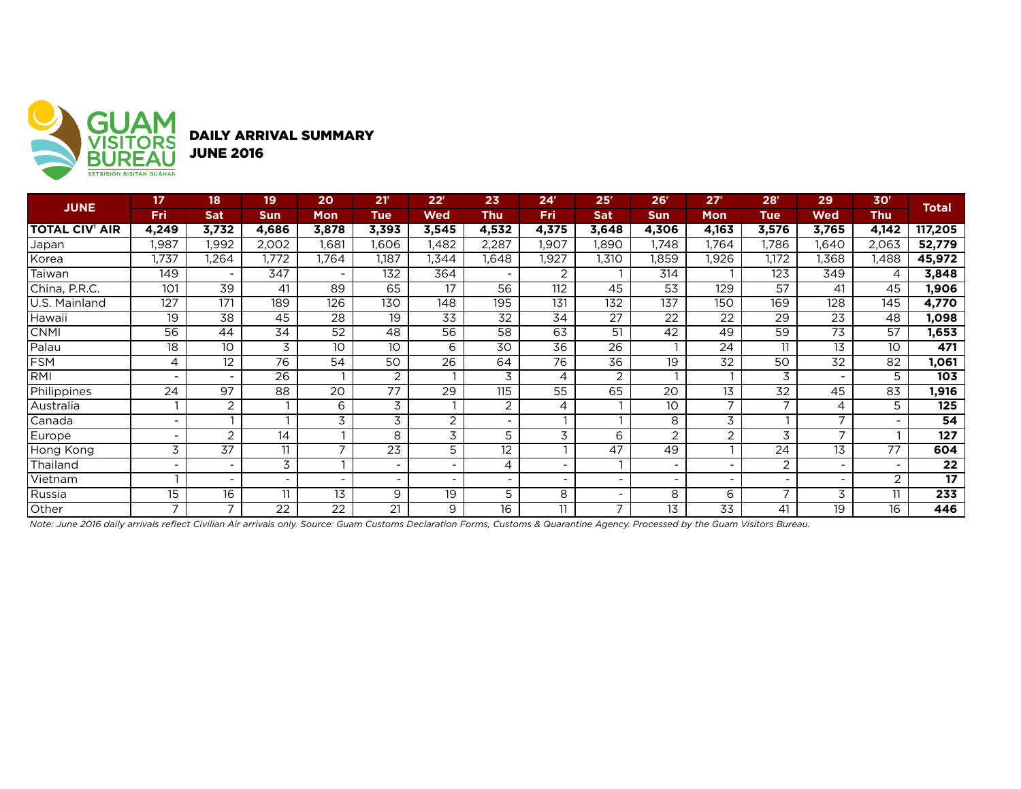

DAILY ARRIVAL SUMMARY

| <b>JUNE</b>           | 17                       | 18                       | 19              | 20         | 21 <sup>r</sup> | $22^r$          | 23                       | 24 <sup>r</sup>          | 25 <sup>r</sup>          | 26'                      | 27 <sup>r</sup>          | 28 <sup>r</sup>          | 29              | 30                       |              |
|-----------------------|--------------------------|--------------------------|-----------------|------------|-----------------|-----------------|--------------------------|--------------------------|--------------------------|--------------------------|--------------------------|--------------------------|-----------------|--------------------------|--------------|
|                       | Fri                      | <b>Sat</b>               | <b>Sun</b>      | <b>Mon</b> | <b>Tue</b>      | Wed             | <b>Thu</b>               | Fri                      | <b>Sat</b>               | <b>Sun</b>               | <b>Mon</b>               | Tue                      | <b>Wed</b>      | <b>Thu</b>               | <b>Total</b> |
| <b>TOTAL CIV' AIR</b> | 4,249                    | 3,732                    | 4,686           | 3,878      | 3,393           | 3,545           | 4,532                    | 4,375                    | 3,648                    | 4,306                    | 4,163                    | 3,576                    | 3,765           | 4,142                    | 117,205      |
| Japan                 | 1,987                    | I,992                    | 2,002           | 1,681      | .606            | l,482           | 2,287                    | 1,907                    | .890                     | ,748                     | 1,764                    | ,786                     | 1,640           | 2,063                    | 52,779       |
| Korea                 | 1,737                    | ,264                     | 1,772           | ,764       | 1,187           | .344            | l.648                    | 1,927                    | 1,310                    | 1,859                    | l.926                    | 1,172                    | 1,368           | 1,488                    | 45,972       |
| Taiwan                | 149                      | $\overline{\phantom{a}}$ | 347             |            | 132             | 364             | $\overline{\phantom{a}}$ | 2                        |                          | 314                      |                          | 123                      | 349             | 4                        | 3,848        |
| China, P.R.C.         | 101                      | 39                       | 41              | 89         | 65              | 17              | 56                       | 112                      | 45                       | 53                       | 129                      | 57                       | 41              | 45                       | 1,906        |
| U.S. Mainland         | 127                      | 171                      | 189             | 126        | 130             | 148             | 195                      | 131                      | 132                      | 137                      | 150                      | 169                      | 128             | 145                      | 4,770        |
| Hawaii                | 19                       | 38                       | 45              | 28         | 19              | $\overline{33}$ | 32                       | 34                       | 27                       | 22                       | $\overline{22}$          | 29                       | $\overline{23}$ | 48                       | 1,098        |
| <b>CNMI</b>           | 56                       | 44                       | 34              | 52         | 48              | 56              | 58                       | 63                       | 51                       | 42                       | 49                       | 59                       | 73              | 57                       | 1,653        |
| Palau                 | 18                       | 10                       | 3               | 10         | 10              | 6               | 30                       | 36                       | 26                       |                          | 24                       | 11                       | 13              | 10                       | 471          |
| <b>FSM</b>            | 4                        | 12                       | 76              | 54         | 50              | $\overline{26}$ | 64                       | 76                       | 36                       | 19                       | 32                       | 50                       | 32              | 82                       | 1,061        |
| <b>RMI</b>            |                          | $\overline{\phantom{a}}$ | 26              |            | 2               |                 | 3                        | 4                        | 2                        |                          |                          | 3                        |                 | 5                        | 103          |
| Philippines           | 24                       | $\overline{97}$          | 88              | 20         | $\overline{77}$ | 29              | 115                      | $\overline{55}$          | 65                       | 20                       | 13                       | $\overline{32}$          | 45              | 83                       | 1,916        |
| Australia             |                          | $\overline{2}$           |                 | 6          | 3               |                 | 2                        | 4                        |                          | 10                       | ⇁                        | 7                        | 4               | 5                        | 125          |
| Canada                |                          | -1                       |                 | 3          | 3               | 2               | $\sim$                   |                          |                          | 8                        | 3                        |                          | $\overline{ }$  |                          | 54           |
| Europe                |                          | $\overline{2}$           | 14              |            | 8               | 3               | $\overline{5}$           | 3                        | 6                        | $\overline{2}$           | $\overline{c}$           | 3                        | $\overline{ }$  |                          | 127          |
| Hong Kong             | 3                        | $\overline{37}$          | 11              |            | 23              | 5               | 12                       |                          | 47                       | 49                       |                          | 24                       | 13              | 77                       | 604          |
| Thailand              | $\overline{\phantom{0}}$ | $\sim$                   | 3               |            | $\blacksquare$  | -               | 4                        | $\overline{\phantom{0}}$ |                          | $\overline{\phantom{a}}$ | $\overline{\phantom{a}}$ | 2                        |                 | $\overline{\phantom{0}}$ | 22           |
| Vietnam               |                          | $\overline{\phantom{a}}$ |                 |            |                 |                 | $\overline{\phantom{a}}$ |                          |                          |                          |                          | $\overline{\phantom{a}}$ |                 | 2                        | 17           |
| Russia                | 15                       | 16                       | 11              | 13         | 9               | 19              | 5                        | 8                        | $\overline{\phantom{0}}$ | 8                        | 6                        | 7                        | 3               | 11                       | 233          |
| Other                 | ⇁                        | 7                        | $\overline{22}$ | 22         | 21              | 9               | 16                       | 11                       | $\overline{ }$           | 13                       | 33                       | 41                       | 19              | 16                       | 446          |

*Note: June 2016 daily arrivals reflect Civilian Air arrivals only. Source: Guam Customs Declaration Forms, Customs & Quarantine Agency. Processed by the Guam Visitors Bureau.*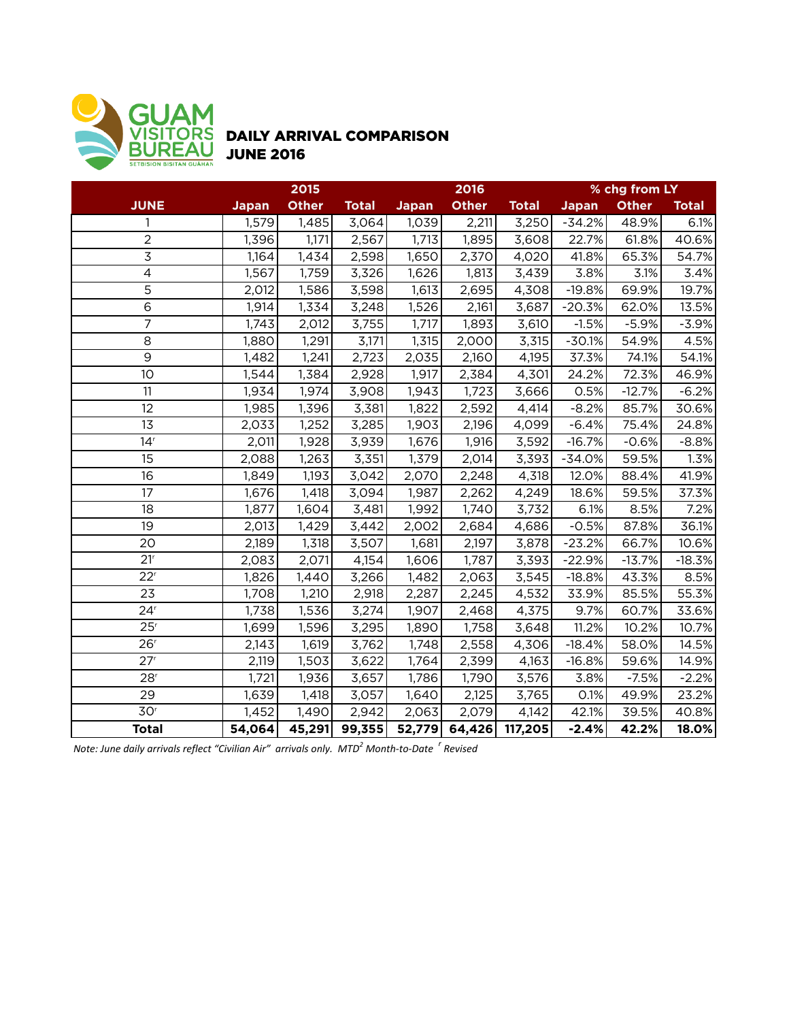

## DAILY ARRIVAL COMPARISON JUNE 2016

|                 | 2015         |              |              |              | 2016         |                | % chg from LY |              |              |  |
|-----------------|--------------|--------------|--------------|--------------|--------------|----------------|---------------|--------------|--------------|--|
| <b>JUNE</b>     | <b>Japan</b> | <b>Other</b> | <b>Total</b> | <b>Japan</b> | <b>Other</b> | <b>Total</b>   | <b>Japan</b>  | <b>Other</b> | <b>Total</b> |  |
| 1               | 1,579        | 1,485        | 3,064        | 1,039        | 2,211        | 3,250          | $-34.2%$      | 48.9%        | 6.1%         |  |
| $\overline{2}$  | 1,396        | 1,171        | 2,567        | 1,713        | 1,895        | 3,608          | 22.7%         | 61.8%        | 40.6%        |  |
| $\overline{3}$  | 1,164        | 1,434        | 2,598        | 1,650        | 2,370        | 4,020          | 41.8%         | 65.3%        | 54.7%        |  |
| $\overline{4}$  | 1,567        | 1,759        | 3,326        | 1,626        | 1,813        | 3,439          | 3.8%          | 3.1%         | 3.4%         |  |
| $\overline{5}$  | 2,012        | 1,586        | 3,598        | 1,613        | 2,695        | 4,308          | $-19.8%$      | 69.9%        | 19.7%        |  |
| 6               | 1,914        | 1,334        | 3,248        | 1,526        | 2,161        | 3,687          | $-20.3%$      | 62.0%        | 13.5%        |  |
| 7               | 1,743        | 2,012        | 3,755        | 1,717        | 1,893        | 3,610          | $-1.5%$       | $-5.9%$      | $-3.9%$      |  |
| 8               | 1,880        | 1,291        | 3,171        | 1,315        | 2,000        | 3,315          | $-30.1%$      | 54.9%        | 4.5%         |  |
| 9               | 1,482        | 1,241        | 2,723        | 2,035        | 2,160        | 4,195          | 37.3%         | 74.1%        | 54.1%        |  |
| 10              | 1,544        | 1,384        | 2,928        | 1,917        | 2,384        | 4,301          | 24.2%         | 72.3%        | 46.9%        |  |
| 11              | 1,934        | 1,974        | 3,908        | 1,943        | 1,723        | 3,666          | 0.5%          | $-12.7%$     | $-6.2%$      |  |
| 12              | 1,985        | 1,396        | 3,381        | 1,822        | 2,592        | 4,414          | $-8.2%$       | 85.7%        | 30.6%        |  |
| 13              | 2,033        | 1,252        | 3,285        | 1,903        | 2,196        | 4,099          | $-6.4%$       | 75.4%        | 24.8%        |  |
| 14 <sup>r</sup> | 2,011        | 1,928        | 3,939        | 1,676        | 1,916        | 3,592          | $-16.7%$      | $-0.6%$      | $-8.8%$      |  |
| 15              | 2,088        | 1,263        | 3,351        | 1,379        | 2,014        | 3,393          | $-34.0%$      | 59.5%        | 1.3%         |  |
| 16              | 1,849        | 1,193        | 3,042        | 2,070        | 2,248        | 4,318          | 12.0%         | 88.4%        | 41.9%        |  |
| 17              | 1,676        | 1,418        | 3,094        | 1,987        | 2,262        | 4,249          | 18.6%         | 59.5%        | 37.3%        |  |
| 18              | 1,877        | 1,604        | 3,481        | 1,992        | 1,740        | 3,732          | 6.1%          | 8.5%         | 7.2%         |  |
| 19              | 2,013        | 1,429        | 3,442        | 2,002        | 2,684        | 4,686          | $-0.5%$       | 87.8%        | 36.1%        |  |
| 20              | 2,189        | 1,318        | 3,507        | 1,681        | 2,197        | 3,878          | $-23.2%$      | 66.7%        | 10.6%        |  |
| 21 <sup>r</sup> | 2,083        | 2,071        | 4,154        | 1,606        | 1,787        | 3,393          | $-22.9%$      | $-13.7%$     | $-18.3%$     |  |
| 22 <sup>r</sup> | 1,826        | 1,440        | 3,266        | 1,482        | 2,063        | 3,545          | $-18.8%$      | 43.3%        | 8.5%         |  |
| 23              | 1,708        | 1,210        | 2,918        | 2,287        | 2,245        | 4,532          | 33.9%         | 85.5%        | 55.3%        |  |
| 24 <sup>r</sup> | 1,738        | 1,536        | 3,274        | 1,907        | 2,468        | 4,375          | 9.7%          | 60.7%        | 33.6%        |  |
| 25 <sup>r</sup> | 1,699        | 1,596        | 3,295        | 1,890        | 1,758        | 3,648          | 11.2%         | 10.2%        | 10.7%        |  |
| 26 <sup>r</sup> | 2,143        | 1,619        | 3,762        | 1,748        | 2,558        | 4,306          | $-18.4%$      | 58.0%        | 14.5%        |  |
| 27 <sup>r</sup> | 2,119        | 1,503        | 3,622        | 1,764        | 2,399        | 4,163          | $-16.8%$      | 59.6%        | 14.9%        |  |
| 28 <sup>r</sup> | 1,721        | 1,936        | 3,657        | 1,786        | 1,790        | 3,576          | 3.8%          | $-7.5%$      | $-2.2%$      |  |
| 29              | 1,639        | 1,418        | 3,057        | 1,640        | 2,125        | 3,765          | O.1%          | 49.9%        | 23.2%        |  |
| 30 <sup>r</sup> | 1,452        | 1,490        | 2,942        | 2,063        | 2,079        | 4,142          | 42.1%         | 39.5%        | 40.8%        |  |
| <b>Total</b>    | 54,064       | 45,291       | 99,355       | 52,779       |              | 64,426 117,205 | $-2.4%$       | 42.2%        | 18.0%        |  |

*Note: June daily arrivals reflect "Civilian Air" arrivals only. MTD<sup>2</sup> Month-to-Date <sup>r</sup> Revised*